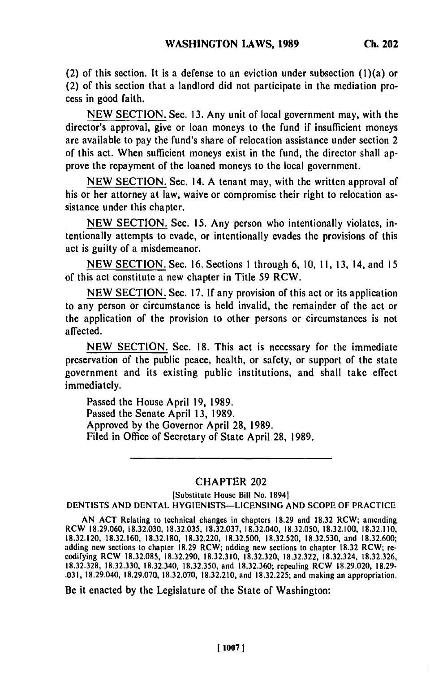(2) of this section. It is a defense to an eviction under subsection (l)(a) or (2) of this section that a landlord did not participate in the mediation process in good faith.

**NEW** SECTION. Sec. 13. Any unit of local government may, with the director's approval, give or loan moneys to the fund if insufficient moneys are available to pay the fund's share of relocation assistance under section 2 of this act. When sufficient moneys exist in the fund, the director shall approve the repayment of the loaned moneys to the local government.

**NEW** SECTION. Sec. 14. A tenant may, with the written approval of his or her attorney at law, waive or compromise their right to relocation assistance under this chapter.

**NEW** SECTION. Sec. **15.** Any person who intentionally violates, intentionally attempts to evade, or intentionally evades the provisions of this act is guilty of a misdemeanor.

NEW SECTION. Sec. 16. Sections **I** through 6, 10, **11, 13,** 14, and **15** of this act constitute a new chapter in Title **59** RCW.

NEW SECTION. Sec. **17.** If any provision of this act or its application to any person or circumstance is held invalid, the remainder of the act or the application of the provision to other persons or circumstances is not affected.

**NEW** SECTION. Sec. 18. This act is necessary for the immediate preservation of the public peace, health, or safety, or support of the state government and its existing public institutions, and shall take effect immediately.

Passed the House April 19, 1989. Passed the Senate April **13, 1989.** Approved **by** the Governor April 28, 1989. Filed in Office of Secretary of State April **28,** 1989.

## CHAPTER 202

[Substitute House Bill No. 1894] DENTISTS **AND** DENTAL HYGIENISTS-LICENSING AND SCOPE OF PRACTICE

**AN** ACT Relating to technical changes in chapters **18.29** and **18.32** RCW; amending RCW **18.29.060, 18.32.030,** 18.32.035, 18.32.037, 18.32.040, 18.32.050, 18.32.100, 18.32.110, **18.32.120,** 18.32.160, **18.32.180, 18.32.220,** 18.32.500, **18.32.520, 18.32.530,** and 18.32.600; adding new sections to chapter **18.29** RCW; adding new sections to chapter **18.32** RCW; **re** codifying RCW **18.32.085, 18.32.290, 18.32.310, 18.32.320, 18.32.322, 18.32.324, 18.32.326, 18.32.328, 18.32.330, 18.32.340, 18.32.350,** and **18.32.360;** repealing RCW **18.29.020, 18.29- .031,** 18.29.040, **18.29.070, 18.32.070, 18.32.210,** and **18.32.225;** and making an appropriation.

Be it enacted **by** the Legislature of the State of Washington: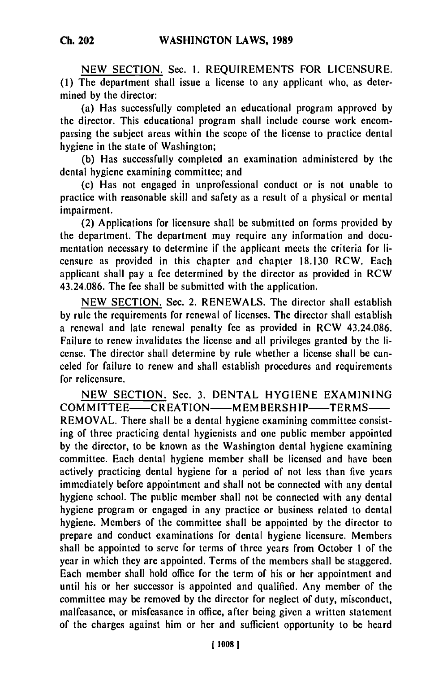NEW SECTION. Sec. I. REQUIREMENTS FOR LICENSURE. **(1)** The department shall issue a license to any applicant who, as determined by the director:

(a) Has successfully completed an educational program approved by the director. This educational program shall include course work encompassing the subject areas within the scope of the license to practice dental hygiene in the state of Washington;

(b) Has successfully completed an examination administered by the dental hygiene examining committee; and

(c) Has not engaged in unprofessional conduct or is not unable to practice with reasonable skill and safety as a result of a physical or mental impairment.

(2) Applications for licensure shall be submitted on forms provided by the department. The department may require any information and documentation necessary to determine if the applicant meets the criteria for licensure as provided in this chapter and chapter 18.130 RCW. Each applicant shall pay a fee determined by the director as provided in RCW 43.24.086. The fee shall be submitted with the application.

NEW SECTION. Sec. 2. RENEWALS. The director shall establish by rule the requirements for renewal of licenses. The director shall establish a renewal and late renewal penalty fee as provided in RCW 43.24.086. Failure to renew invalidates the license and all privileges granted by the license. The director shall determine by rule whether a license shall be canceled for failure to renew and shall establish procedures and requirements for relicensure.

NEW SECTION. Sec. 3. DENTAL HYGIENE EXAMINING COMMITTEE-CREATION--MEMBERSHIP-TERMS-REMOVAL. There shall be a dental hygiene examining committee consisting of three practicing dental hygienists and one public member appointed by the director, to be known as the Washington dental hygiene examining committee. Each dental hygiene member shall be licensed and have been actively practicing dental hygiene for a period of not less than five years immediately before appointment and shall not be connected with any dental hygiene school. The public member shall not be connected with any dental hygiene program or engaged in any practice or business related to dental hygiene. Members of the committee shall be appointed by the director to prepare and conduct examinations for dental hygiene licensure. Members shall be appointed to serve for terms of three years from October I of the year in which they are appointed. Terms of the members shall be staggered. Each member shall hold office for the term of his or her appointment and until his or her successor is appointed and qualified. Any member of the committee may be removed by the director for neglect of duty, misconduct, malfeasance, or misfeasance in office, after being given a written statement of the charges against him or her and sufficient opportunity to be heard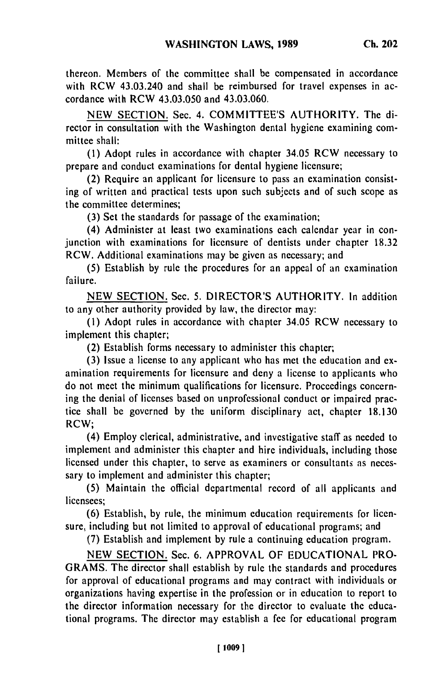thereon. Members of the committee shall be compensated in accordance with RCW 43.03.240 and shall be reimbursed for travel expenses in accordance with RCW 43.03.050 and 43.03.060.

NEW SECTION. Sec. 4. COMMITTEE'S AUTHORITY. The director in consultation with the Washington dental hygiene examining committee shall:

**(1)** Adopt rules in accordance with chapter 34.05 RCW necessary to prepare and conduct examinations for dental hygiene licensure;

(2) Require an applicant for licensure to pass an examination consisting of written and practical tests upon such subjects and of such scope as the committee determines;

(3) Set the standards for passage of the examination;

(4) Administer at least two examinations each calendar year in conjunction with examinations for licensure of dentists under chapter 18.32 RCW. Additional examinations may be given as necessary; and

(5) Establish by rule the procedures for an appeal of an examination failure.

NEW SECTION. Sec. 5. DIRECTOR'S AUTHORITY. In addition to any other authority provided by law, the director may:

**(1)** Adopt rules in accordance with chapter 34.05 RCW necessary to implement this chapter;

(2) Establish forms necessary to administer this chapter;

(3) Issue a license to any applicant who has met the education and examination requirements for licensure and deny a license to applicants who do not meet the minimum qualifications for licensure. Proceedings concerning the denial of licenses based on unprofessional conduct or impaired practice shall be governed by the uniform disciplinary act, chapter 18.130 RCW;

(4) Employ clerical, administrative, and investigative staff as needed to implement and administer this chapter and hire individuals, including those licensed under this chapter, to serve as examiners or consultants as necessary to implement and administer this chapter;

(5) Maintain the official departmental record of all applicants and licensees;

(6) Establish, by rule, the minimum education requirements for licensure, including but not limited to approval of educational programs; and

(7) Establish and implement by rule a continuing education program.

NEW SECTION. Sec. 6. APPROVAL OF EDUCATIONAL PRO-GRAMS. The director shall establish by rule the standards and procedures for approval of educational programs and may contract with individuals or organizations having expertise in the profession or in education to report to the director information necessary for the director to evaluate the educational programs. The director may establish a fee for educational program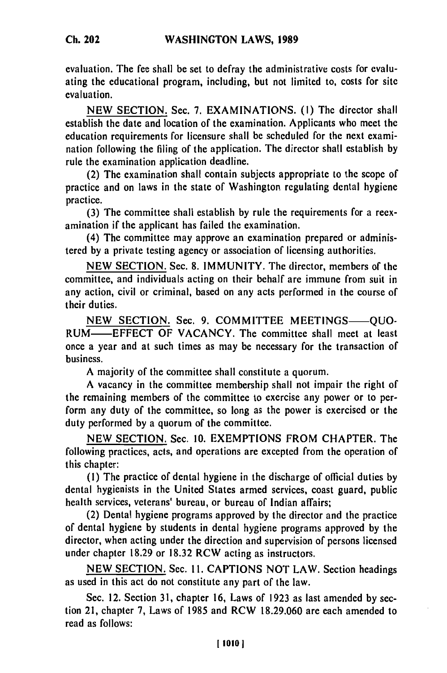evaluation. The fee shall be set to defray the administrative costs for evaluating the educational program, including, but not limited to, costs for site evaluation.

NEW SECTION. Sec. 7. EXAMINATIONS. (I) The director shall establish the date and location of the examination. Applicants who meet the education requirements for licensure shall be scheduled for the next examination following the filing of the application. The director shall establish by rule the examination application deadline.

(2) The examination shall contain subjects appropriate to the scope of practice and on laws in the state of Washington regulating dental hygiene practice.

(3) The committee shall establish by rule the requirements for a reexamination if the applicant has failed the examination.

(4) The committee may approve an examination prepared or administered by a private testing agency or association of licensing authorities.

NEW SECTION. Sec. 8. IMMUNITY. The director, members of the committee, and individuals acting on their behalf are immune from suit in any action, civil or criminal, based on any acts performed in the course of their duties.

NEW SECTION. Sec. 9. COMMITTEE MEETINGS-0UO-RUM-EFFECT OF VACANCY. The committee shall meet at least once a year and at such times as may be necessary for the transaction of business.

A majority of the committee shall constitute a quorum.

A vacancy in the committee membership shall not impair the right of the remaining members of the committee to exercise any power or to perform any duty of the committee, so long as the power is exercised or the duty performed by a quorum of the committee.

NEW SECTION. Sec. 10. EXEMPTIONS FROM CHAPTER. The following practices, acts, and operations are excepted from the operation of this chapter:

**(1)** The practice of dental hygiene in the discharge of official duties by dental hygienists in the United States armed services, coast guard, public health services, veterans' bureau, or bureau of Indian affairs;

(2) Dental hygiene programs approved by the director and the practice of dental hygiene by students in dental hygiene programs approved by the director, when acting under the direction and supervision of persons licensed under chapter 18.29 or 18.32 RCW acting as instructors.

NEW SECTION. Sec. **11.** CAPTIONS NOT LAW. Section headings as used in this act do not constitute any part of the law.

Sec. 12. Section 31, chapter 16, Laws of 1923 as last amended by section 21, chapter 7, Laws of 1985 and RCW 18.29.060 are each amended to read as follows:

*Ch.* **202**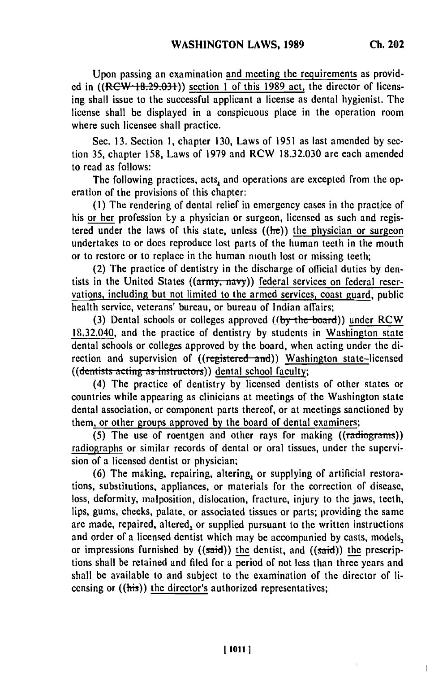Upon passing an examination and meeting the requirements as provided in  $((RCW+18.29.031))$  section 1 of this 1989 act, the director of licensing shall issue to the successful applicant a license as dental hygienist. The license shall be displayed in a conspicuous place in the operation room where such licensee shall practice.

Sec. 13. Section **1,** chapter 130, Laws of 1951 as last amended by section 35, chapter 158, Laws of 1979 and RCW 18.32.030 are each amended to read as follows:

The following practices, acts, and operations are excepted from the operation of the provisions of this chapter:

(I) The rendering of dental relief in emergency cases in the practice of his or her profession **Ly** a physician or surgeon, licensed as such and registered under the laws of this state, unless  $((he))$  the physician or surgeon undertakes to or does reproduce lost parts of the human teeth in the mouth or to restore or to replace in the human mouth lost or missing teeth;

(2) The practice of dentistry in the discharge of official duties by dentists in the United States ((army, navy)) federal services on federal reservations, including but not limited to the armed services, coast guard, public health service, veterans' bureau, or bureau of Indian affairs;

(3) Dental schools or colleges approved  $((by the board))$  under RCW 18.32.040, and the practice of dentistry by students in Washington state dental schools or colleges approved by the board, when acting under the direction and supervision of ((registered and)) Washington state-licensed rection and supervision of *((registered and)*, *hase*<br>((dentists acting as instructors)) dental school faculty;

(4) The practice of dentistry by licensed dentists of other states or countries while appearing as clinicians at meetings of the Washington state dental association, or component parts thereof, or at meetings sanctioned by them, or other groups approved by the board of dental examiners;

(5) The use of roentgen and other rays for making ((radiograms)) radiographs or similar records of dental or oral tissues, under the supervision of a licensed dentist or physician;

(6) The making, repairing, altering, or supplying of artificial restorations, substitutions, appliances, or materials for the correction of disease, loss, deformity, malposition, dislocation, fracture, injury to the jaws, teeth, lips, gums, cheeks, palate, or associated tissues or parts; providing the same are made, repaired, altered, or supplied pursuant to the written instructions and order of a licensed dentist which may be accompanied by casts, models, or impressions furnished by  $((said))$  the dentist, and  $((said))$  the prescriptions shall be retained and filed for a period of not less than three years and shall be available to and subject to the examination of the director of licensing or ((his)) the director's authorized representatives;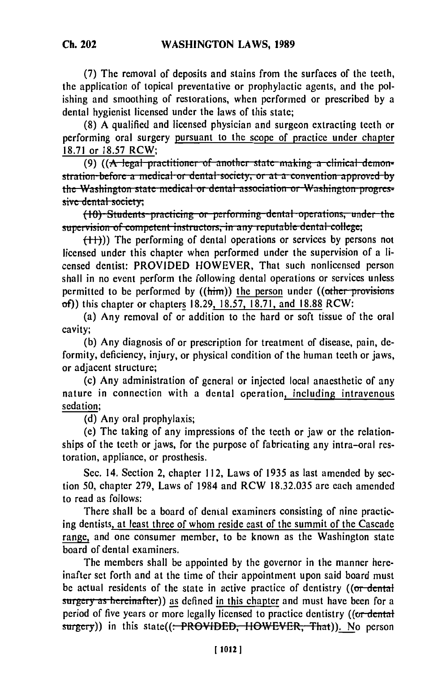(7) The removal of deposits and stains from the surfaces of the teeth, the application of topical preventative or prophylactic agents, and the polishing and smoothing of restorations, when performed or prescribed by a dental hygienist licensed under the laws of this state;

(8) A qualified and licensed physician and surgeon extracting teeth or performing oral surgery pursuant to the scope of practice under chapter 18.71 or 18.57 RCW;

(9) ((A legal practitioner of another state making a clinical demonstration-before a medical or dental society, or at a convention approved by the Washington state medical or dental association or Washington progressive dental society;

(10) Students practicing or performing dental operations, under the supervision of competent instructors, in any reputable dental college;

 $(++)$ )) The performing of dental operations or services by persons not licensed under this chapter when performed under the supervision of a licensed dentist: PROVIDED HOWEVER, That such nonlicensed person shall in no event perform the following dental operations or services unless permitted to be performed by  $((\text{him}))$  the person under  $((\text{other-provisions})$ of) this chapter or chapters 18.29, 18.57, 18.71, and 18.88 RCW:

(a) Any removal of or addition to the hard or soft tissue of the oral cavity:

(b) Any diagnosis of or prescription for treatment of disease, pain, deformity, deficiency, injury, or physical condition of the human teeth or jaws, or adiacent structure:

(c) Any administration of general or injected local anaesthetic of any nature in connection with a dental operation, including intravenous sedation;

(d) Any oral prophylaxis:

(e) The taking of any impressions of the teeth or jaw or the relationships of the teeth or jaws, for the purpose of fabricating any intra-oral restoration, appliance, or prosthesis.

Sec. 14. Section 2, chapter 112, Laws of 1935 as last amended by section 50, chapter 279, Laws of 1984 and RCW 18.32.035 are each amended to read as follows:

There shall be a board of dental examiners consisting of nine practicing dentists, at least three of whom reside east of the summit of the Cascade range, and one consumer member, to be known as the Washington state board of dental examiners.

The members shall be appointed by the governor in the manner hereinafter set forth and at the time of their appointment upon said board must be actual residents of the state in active practice of dentistry ((or dental surgery as hereinafter)) as defined in this chapter and must have been for a period of five years or more legally licensed to practice dentistry ((or dental surgery)) in this state((: PROVIDED, HOWEVER, That)). No person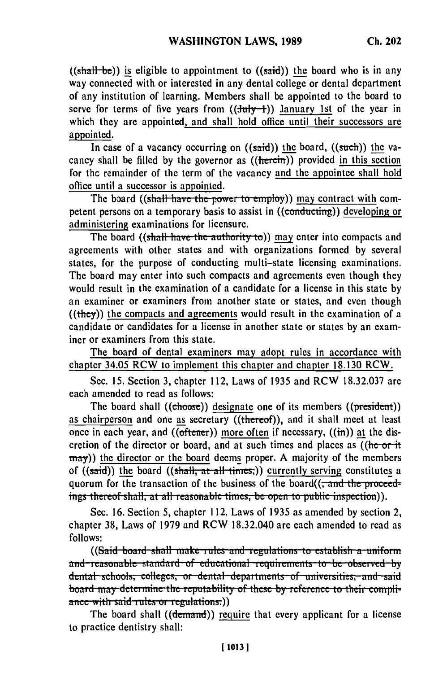((shall be)) is eligible to appointment to ((said)) the board who is in any way connected with or interested in any dental college or dental department of any institution of learning. Members shall be appointed to the board to serve for terms of five years from  $((\frac{1}{10})(\frac{1}{1})^2)$  January 1st of the year in which they are appointed, and shall hold office until their successors are appointed.

In case of a vacancy occurring on  $((said))$  the board,  $((such))$  the vacancy shall be filled by the governor as  $((\text{herein}))$  provided in this section for the remainder of the term of the vacancy and the appointee shall hold office until a successor is appointed.

The board ((shall have the power to employ)) may contract with competent persons on a temporary basis to assist in ((conducting)) developing or administering examinations for licensure.

The board ((shall have the authority to)) may enter into compacts and agreements with other states and with organizations formed by several states, for the purpose of conducting multi-state licensing examinations. The board may enter into such compacts and agreements even though they would result in the examination of a candidate for a license in this state by an examiner or examiners from another state or states, and even though  $((they))$  the compacts and agreements would result in the examination of a candidate or candidates for a license in another state or states by an examiner or examiners from this state.

The board of dental examiners may adopt rules in accordance with chapter 34.05 RCW to implement this chapter and chapter 18.130 RCW.

Sec. 15. Section 3, chapter 112, Laws of 1935 and RCW 18.32.037 are each amended to read as follows:

The board shall ((choose)) designate one of its members ((president)) as chairperson and one as secretary ((thereof)), and it shall meet at least once in each year, and ( $(\overline{\text{other}})$ ) more often if necessary,  $((\overline{\text{in}}))$  at the discretion of the director or board, and at such times and places as  $($ ( $)$ he-or-it may)) the director or the board deems proper. A majority of the members of ((said)) the board ((shall, at all times)) currently serving constitutes a quorum for the transaction of the business of the board( $\left($ , and the proceedings thereof shall, at all reasonable times, be open to public inspection)).

Sec. 16. Section 5, chapter 112, Laws of 1935 as amended by section 2, chapter 38, Laws of 1979 and RCW 18.32.040 are each amended to read as  $f_{\text{S}}(S) = \frac{1}{2}$  in the set of  $S \times S$  and  $S \times S$ . The set of the set of anomalize to real.

((Said board shall make rules and regulations to establish a uniform and reasonable standard of educational requirements to be observed by dental schools, colleges, or dental departments of universities, and said board may determine the reputability of these by reference to their compli**ance with said rules or regulations.)** 

The board shall ((demand)) require that every applicant for a license to practice dentistry shall: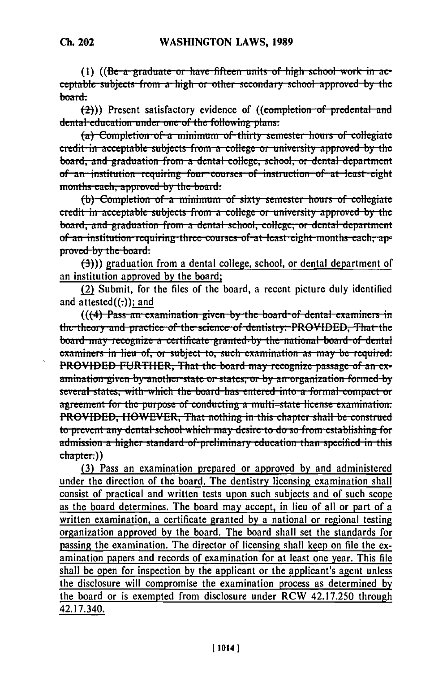(1)  $((Be-a-graduate-or have-fifteen-units-of-high school-work-in-ac$ ceptable subjects from a high or other secondary school approved by the

board:  $\left(\frac{2}{2}\right)$ ) Present satisfactory evidence of ((completion of predental and dental education under one of the following plans:

(a) Completion of a minimum of thirty semester hours of collegiate credit in acceptable subjects from a college or university approved by the board, and graduation from a dental college, school, or dental department of an institution requiring four courses of instruction of at least eight months-each, approved by the board.

(b) Completion of a minimum of sixty semester hours of collegiate credit in acceptable subjects-from a college or university approved by the board, and graduation from a dental school, college, or dental department of an institution requiring three courses of at least eight months each, approved by the board.

 $(\frac{1}{2})$ ) graduation from a dental college, school, or dental department of an institution approved by the board;

(2) Submit, for the files of the board, a recent picture duly identified and  $attested((:))$ ; and

 $((4)$  Pass an examination given by the board of dental examiners in the theory and practice of the science of dentistry: PROVIDED, That the board may recognize a certificate granted by the national board of dental examiners in lieu of, or subject to, such examination as may be required: PROVIDED FURTHER, That the board may recognize passage of an examination given by another state or states, or by an organization formed by several states, with which the board has entered into a formal compact or agreement for the purpose of conducting a multi-state license examination: PROVIDED, HOWEVER, That nothing in this chapter shall be construed to prevent any dental school which may desire to do so from establishing for admission a higher standard of preliminary education than specified in this chapter.))

(3) Pass an examination prepared or approved by and administered under the direction of the board. The dentistry licensing examination shall consist of practical and written tests upon such subjects and of such scope as the board determines. The board may accept, in lieu of all or part of a written examination, a certificate granted by a national or regional testing organization approved by the board. The board shall set the standards for passing the examination. The director of licensing shall keep on file the examination papers and records of examination for at least one year. This file shall be open for inspection by the applicant or the applicant's agent unless the disclosure will compromise the examination process as determined by the board or is exempted from disclosure under RCW 42.17.250 through 42.17.340.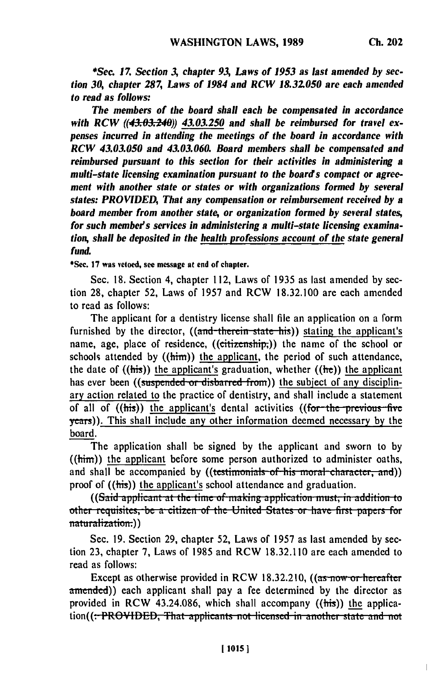$\overline{a}$ 

*\*Se. 17. Section 3, chapter 93, Laws of 1953 as last amended by section 30, chapter 287, Laws of 1984 and RCW 18.32050 are each amended to read as follows:*

*The members of the board shall each be compensated in accordance* with RCW ((43.03.240)) 43.03.250 and shall be reimbursed for travel ex*penses incurred in attending the meetings of the board in accordance with RCW 43.03.050 and 43.03.060. Board members shall be compensated and reimbursed pursuant to this section for their activities in administering a multi-state licensing examination pursuant to the boards compact or agreement with another state or states or with organizations formed by several states: PROVIDED, That any compensation or reimbursement received by a board member from another state, or organization formed by several states,* for such member's services in administering a multi-state licensing examina*tion, shall be deposited in the health professions account of the state general fund.*

\*Sec. **17** was vetoed, see message at end of chapter.

Sec. 18. Section 4, chapter 112, Laws of 1935 as last amended **by** section 28, chapter 52, Laws of 1957 and RCW 18.32.100 are each amended to read as follows:

The applicant for a dentistry license shall file an application on a form furnished by the director, ((and therein state his)) stating the applicant's name, age, place of residence, ((citizenship;)) the name of the school or schools attended by  $(\text{him})$  the applicant, the period of such attendance, the date of  $((\text{his}))$  the applicant's graduation, whether  $((\text{he}))$  the applicant has ever been ((suspended or disbarred from)) the subject of any disciplinary action related to the practice of dentistry, and shall include a statement of all of ((his)) the applicant's dental activities ((for the previous five years)). This shall include any other information deemed necessary **by** the board.

The application shall be signed by the applicant and sworn to by  $((him))$  the applicant before some person authorized to administer oaths, and shall be accompanied by ((testimonials of his moral character, and)) proof of ((his)) the applicant's school attendance and graduation.

((Said applicant at the time of making application must, in addition to other requisites, be a citizen of the United States or have first papers for **only** other requisites, be a citizen of the United States or have first papers for

Sec. 19. Section 29, chapter 52, Laws of 1957 as last amended by section 23, chapter 7, Laws of 1985 and RCW 18.32.110 are each amended to read as follows:

Except as otherwise provided in RCW 18.32.210,  $((as now or hereafter$ amended)) each applicant shall pay a fee determined by the director as provided in RCW 43.24.086, which shall accompany  $((\frac{h}{h})^2)$  the application((:-PROVIDED, That applicants not licensed in another state and not.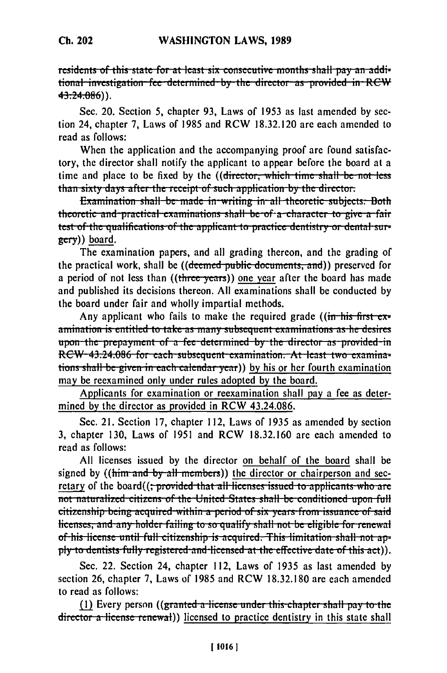residents of this state for at least six consecutive months shall pay an additional investigation fee determined by the director as provided in RCW  $43:24:086$ ).

Sec. 20. Section 5, chapter 93, Laws of 1953 as last amended by section 24, chapter 7, Laws of 1985 and RCW 18.32.120 are each amended to read as follows:

When the application and the accompanying proof are found satisfactory, the director shall notify the applicant to appear before the board at a time and place to be fixed by the ((director, which time shall be not less than sixty days after the receipt of such application by the director.

Examination shall be made in writing in all theoretic subjects. Both theoretic and practical examinations shall be of a character to give a fair test of the qualifications of the applicant to practice dentistry or dental sur $g$ <sub>ecry</sub> $)$ ) board.

The examination papers, and all grading thereon, and the grading of the practical work, shall be ((deemed public documents, and)) preserved for a period of not less than ((three years)) one year after the board has made and published its decisions thereon. All examinations shall be conducted by the board under fair and wholly impartial methods.

Any applicant who fails to make the required grade ((in his first  $ex$ amination is entitled to take as many subsequent examinations as he desires upon the prepayment of a fee determined by the director as provided in RCW-43.24.086 for each subsequent examination. At least two examinations shall be given in each calendar year)) by his or her fourth examination may be reexamined only under rules adopted by the board.

Applicants for examination or reexamination shall pay a fee as determined by the director as provided in RCW 43.24.086.

Sec. 21. Section 17, chapter 112, Laws of 1935 as amended by section 3, chapter 130, Laws of 1951 and RCW 18.32.160 are each amended to read as follows:

All licenses issued by the director on behalf of the board shall be signed by ((him and by all members)) the director or chairperson and secretary of the board((; provided that all licenses issued to applicants who are not naturalized citizens of the United States shall be conditioned upon full citizenship being acquired within a period of six years from issuance of said licenses, and any holder failing to so qualify shall not be eligible for renewal of his license until full citizenship is acquired. This limitation shall not apply to dentists fully registered and licensed at the effective date of this act).

Sec. 22. Section 24, chapter 112, Laws of 1935 as last amended by section 26, chapter 7, Laws of 1985 and RCW 18.32.180 are each amended to read as follows:

(1) Every person ( $(\text{granted } a$ -license under this-chapter shall pay to the director a license renewal) licensed to practice dentistry in this state shall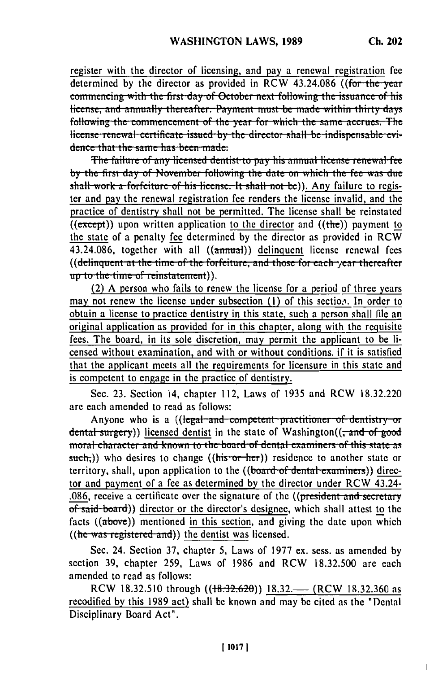register with the director of licensing, and pay a renewal registration fee determined by the director as provided in RCW 43.24.086 ((for the year commencing with the first day of October next following the issuance of his license, and annually thereafter. Payment must be made within thirty days following the commencement of the year for which the same accrues. The license renewal certificate issued by the director shall be indisperisable evidence that the same has been made:

The failure of any licensed dentist to pay his annual license renewal fee by the first day of November following the date on which the fee was due shall work a forfeiture of his license. It shall not be)). Any failure to register and pay the renewal registration fee renders the license invalid, and the practice of dentistry shall not be permitted. The license shall be reinstated  $(\overline{(except)})$  upon written application to the director and  $(\overline{(the)})$  payment to the state of a penalty fee determined by the director as provided in RCW 43.24.086, together with all ((annual)) delinquent license renewal fees ((delinquent at the time of the forfeiture, and those for each year thereafter up to the time of reinstatement)).

(2) A person who fails to renew the license for a period of three years may not renew the license under subsection (1) of this section. In order to obtain a license to practice dentistry in this state, such a person shall file an original application as provided for in this chapter, along with the requisite fees. The board, in its sole discretion, may permit the applicant to be licensed without examination, and with or without conditions, if it is satisfied that the applicant meets all the requirements for licensure in this state and is competent to engage in the practice of dentistry.

Sec. 23. Section 14, chapter 112, Laws of 1935 and RCW 18.32.220 are each amended to read as follows:

Anyone who is a ((legal-and-competent-practitioner of dentistry or dental surgery)) licensed dentist in the state of Washington( $\left(-\text{and of good}\right)$ moral character and known to the board of dental examiners of this state as such<sub>r</sub>)) who desires to change (( $\overline{his \cdot or \cdot her}$ )) residence to another state or territory, shall, upon application to the ((board of dental examiners)) director and payment of a fee as determined by the director under RCW 43.24-.086, receive a certificate over the signature of the ((president and secretary of said board)) director or the director's designee, which shall attest to the facts  $((above))$  mentioned in this section, and giving the date upon which  $((he was registered-and))$  the dentist was licensed.

Sec. 24. Section 37, chapter 5, Laws of 1977 ex. sess. as amended by section 39, chapter 259, Laws of 1986 and RCW 18.32.500 are each amended to read as follows:

RCW 18.32.510 through ((18.32.620)) 18.32.—– (RCW 18.32.360 as recodified by this 1989 act) shall be known and may be cited as the "Dental Disciplinary Board Act".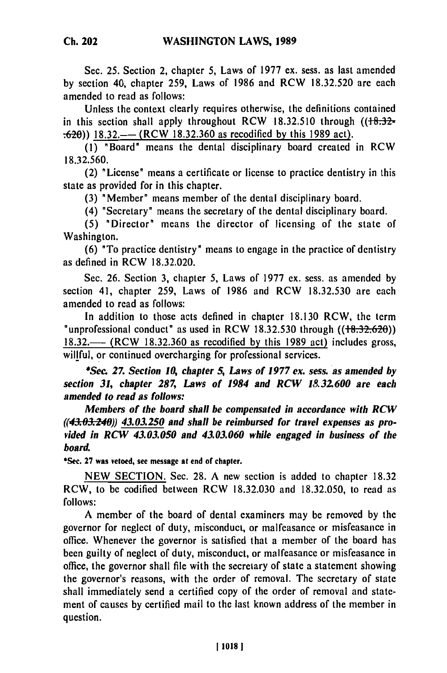Sec. **25.** Section 2, chapter **5,** Laws of **1977** ex. sess. as last amended **by** section 40, chapter **259,** Laws of **1986** and RCW **18.32.520** are each amended to read as follows:

Unless the context clearly requires otherwise, the definitions contained in this section shall apply throughout RCW 18.32.510 through ( $\left(\frac{18.32}{18.32}\right)$ .620)) **18.32.-** (RCW **18.32.360** as recodified **by** this **1989** act).

**(1)** "Board" means the dental disciplinary board created in RCW **18.32.560.**

(2) "License" means a certificate or license to practice dentistry in this state as provided for in this chapter.

**(3)** "Member" means member of the dental disciplinary board.

(4) "Secretary" means the secretary of the dental disciplinary board.

**(5)** "Director" means the director of licensing of the state of Washington.

**(6)** "To practice dentistry" means to engage in the practice of dentistry as defined in RCW **18.32.020.**

Sec. **26.** Section **3,** chapter **5,** Laws of **1977 ex.** sess. as amended **by** section 41, chapter 259, Laws of **1986** and RCW **18.32.530** are each amended to read as follows:

In addition to those acts defined in chapter **18.130** RCW, the term "unprofessional conduct" as used in RCW **18.32.530** through **((+8.32.620)) 18.32.-** (RCW **18.32.360** as recodified **by** this **1989** act) includes gross, willful, or continued overcharging for professional services.

*\*Sec 27. Section 10, chapter 5, Laws of 1977* **ex.** *sess. as amended by section 31, chapter 287, Laws of 1984 and RCW 1&32.600 are each amended to read as follows:*

*Members of the board shall be compensated in accordance with RCW* ((43.03.240)) 43.03.250 and shall be reimbursed for travel expenses as pro*vided in RCW 43.03.050 and 43.03.060 while engaged in business of the board.*

**\*Sec. 27 was vetoed, see message at end of chapter.**

**NEW SECTION.** Sec. **28. A** new section is added to chapter **18.32** RCW, to be codified between RCW **18.32.030** and **18.32.050,** to read as **follows:**

**A** member of the board of dental examiners may be removed **by** the governor for neglect of duty, misconduct, or malfeasance or misfeasance in office. Whenever the governor is satisfied that a member of the board has been guilty of neglect of duty, misconduct, or malfeasance or misfeasance in office, the governor shall file with the secretary of state a statement showing the governor's reasons, with the order of removal. The secretary of state shall immediately send a certified copy of the order of removal and statement of causes **by** certified mail to the last known address of the member in question.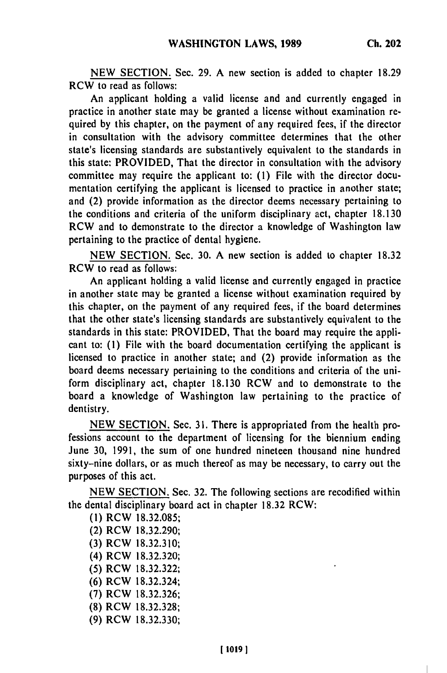**NEW** SECTION. Sec. 29. A new section is added to chapter 18.29 RCW to read as follows:

An applicant holding a valid license and and currently engaged in practice in another state may be granted a license without examination required by this chapter, on the payment of any required fees, if the director in consultation with the advisory committee determines that the other state's licensing standards are substantively equivalent to the standards in this state: PROVIDED, That the director in consultation with the advisory committee may require the applicant to: (1) File with the director documentation certifying the applicant is licensed to practice in another state; and (2) provide information as the director deems necessary pertaining to the conditions and criteria of the uniform disciplinary act, chapter 18.130 RCW and to demonstrate to the director a knowledge of Washington law pertaining to the practice of dental hygiene.

NEW SECTION. Sec. 30. A new section is added to chapter 18.32 RCW to read as follows:

An applicant holding a valid license and currently engaged in practice in another state may be granted a license without examination required by this chapter, on the payment of any required fees, if the board determines that the other state's licensing standards are substantively equivalent to the standards in this state: PROVIDED, That the board may require the applicant to: **(1)** File with the board documentation certifying the applicant is licensed to practice in another state; and (2) provide information as the board deems necessary pertaining to the conditions and criteria of the uniform disciplinary act, chapter 18.130 RCW and to demonstrate to the board a knowledge of Washington law pertaining to the practice of dentistry.

NEW SECTION. Sec. 31. There is appropriated from the health professions account to the department of licensing for the biennium ending June 30, 1991, the sum of one hundred nineteen thousand nine hundred sixty-nine dollars, or as much thereof as may be necessary, to carry out the purposes of this act.

NEW SECTION. Sec. 32. The following sections are recodified within the dental disciplinary board act in chapter 18.32 RCW:

**(1)** RCW 18.32.085; (2) RCW 18.32.290; (3) RCW 18.32.310; (4) RCW 18.32.320; (5) RCW 18.32.322; (6) RCW 18.32.324; (7) RCW 18.32.326; (8) RCW 18.32.328; (9) RCW 18.32.330;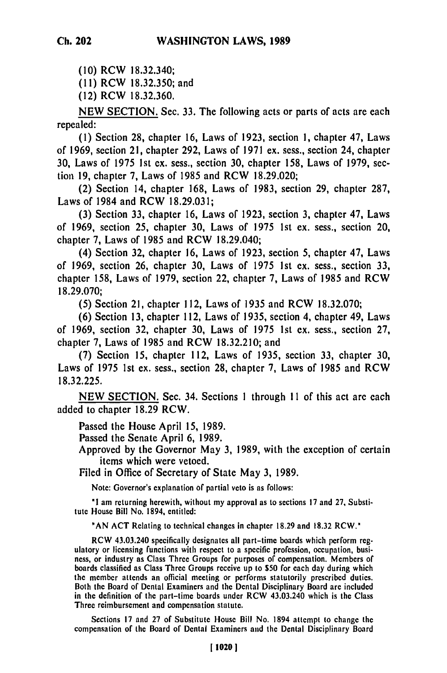**(10)** RCW **18.32.340;**

**(11)** RCW **18.32.350;** and

(12) RCW **18.32.360.**

**NEW SECTION.** Sec. **33.** The following acts or parts of acts are each repealed:

**(1)** Section **28,** chapter **16,** Laws of **1923,** section **1,** chapter 47, Laws of **1969,** section 21, chapter **292,** Laws of **1971** ex. sess., section 24, chapter **30,** Laws of **1975 1st ex.** sess., section **30,** chapter **158,** Laws of **1979,** section **19,** chapter **7,** Laws of **1985** and RCW **18.29.020;**

(2) Section 14, chapter **168,** Laws of **1983,** section **29,** chapter **287,** Laws of 1984 and RCW **18.29.03 1;**

**(3)** Section **33,** chapter **16,** Laws of **1923,** section **3,** chapter 47, Laws of **1969,** section **25,** chapter **30,** Laws of **1975 1st** ex. sess., section 20, chapter **7,** Laws of **1985** and RCW 18.29.040;

(4) Section **32,** chapter **16,** Laws of **1923,** section **5,** chapter 47, Laws of **1969,** section **26,** chapter **30,** Laws of **1975 1st** ex. sess., section **33,** chapter **158,** Laws of **1979,** section 22, chapter **7,** Laws of **1985** and RCW **18.29.070;**

**(5)** Section 21, chapter 112, Laws of **1935** and RCW **18.32.070;**

**(6)** Section **13,** chapter 112, Laws of **1935,** section 4, chapter 49, Laws of **1969,** section **32,** chapter **30,** Laws of **1975 1st ex.** sess., section **27,** chapter **7,** Laws of **1985** and RCW **18.32.210;** and

**(7)** Section **15,** chapter 112, Laws of **1935,** section **33,** chapter **30,** Laws of **1975 1st** ex. sess., section **28,** chapter **7,** Laws of **1985** and RCW **18.32.225.**

**NEW SECTION.** Sec. 34. Sections **1** through **I I** of this act are each added to chapter **18.29** RCW.

Passed the House April **15, 1989.**

Passed the Senate April **6, 1989.**

Approved **by** the Governor May **3, 1989,** with the exception of certain items which were vetoed.

Filed in Office of Secretary of State May **3, 1989.**

Note: Governor's explanation **of** partial veto is as follows:

**'1** am returning herewith, without my approval as to sections **17** and **27,** Substitute House Bill No. 1894, entitled:

**"AN ACT** Relating to technical changes in chapter **18.29** and **18.32** RCW.'

RCW 43.03.240 specifically designates all part-time boards which perform regulatory or licensing functions with respect to a specific profession, occupation, busiulatory or licensing functions with respect to a specific profession, occupation, pusiboards continues to a Class Three Groups for purposes of compensation, we meet to be the state when the state which day during which devices the boards classified as Class Three Groups receive up to \$50 for each day during which the member attends an official meeting or performs statutorily prescribed duties. Both the Board of Dental Examiners and the Dental Disciplinary Board are included in the definition of the part-time boards under RCW 43.03.240 which is the Class Three reimbursement and compensation statute.

Sections **17** and **27** of Substitute House Bill No. 1894 attempt to change the compensation of the Board of Dental Examiners and the Dental Disciplinary Board